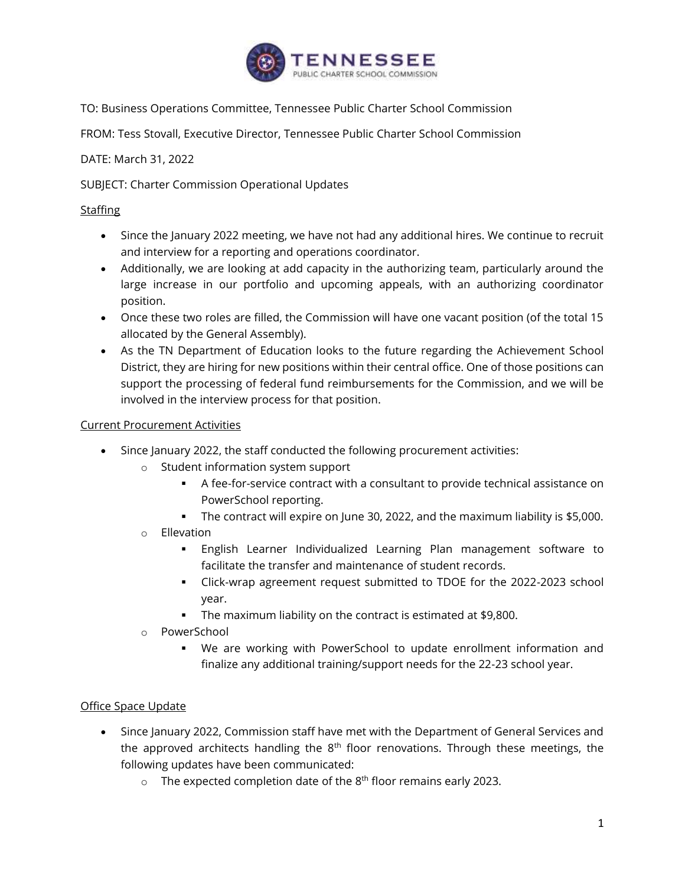

TO: Business Operations Committee, Tennessee Public Charter School Commission

FROM: Tess Stovall, Executive Director, Tennessee Public Charter School Commission

DATE: March 31, 2022

SUBJECT: Charter Commission Operational Updates

## **Staffing**

- Since the January 2022 meeting, we have not had any additional hires. We continue to recruit and interview for a reporting and operations coordinator.
- Additionally, we are looking at add capacity in the authorizing team, particularly around the large increase in our portfolio and upcoming appeals, with an authorizing coordinator position.
- Once these two roles are filled, the Commission will have one vacant position (of the total 15 allocated by the General Assembly).
- As the TN Department of Education looks to the future regarding the Achievement School District, they are hiring for new positions within their central office. One of those positions can support the processing of federal fund reimbursements for the Commission, and we will be involved in the interview process for that position.

## Current Procurement Activities

- Since January 2022, the staff conducted the following procurement activities:
	- o Student information system support
		- A fee-for-service contract with a consultant to provide technical assistance on PowerSchool reporting.
		- The contract will expire on June 30, 2022, and the maximum liability is \$5,000.
	- o Ellevation
		- English Learner Individualized Learning Plan management software to facilitate the transfer and maintenance of student records.
		- Click-wrap agreement request submitted to TDOE for the 2022-2023 school year.
		- The maximum liability on the contract is estimated at \$9,800.
	- o PowerSchool
		- We are working with PowerSchool to update enrollment information and finalize any additional training/support needs for the 22-23 school year.

## Office Space Update

- Since January 2022, Commission staff have met with the Department of General Services and the approved architects handling the  $8<sup>th</sup>$  floor renovations. Through these meetings, the following updates have been communicated:
	- $\circ$  The expected completion date of the 8<sup>th</sup> floor remains early 2023.